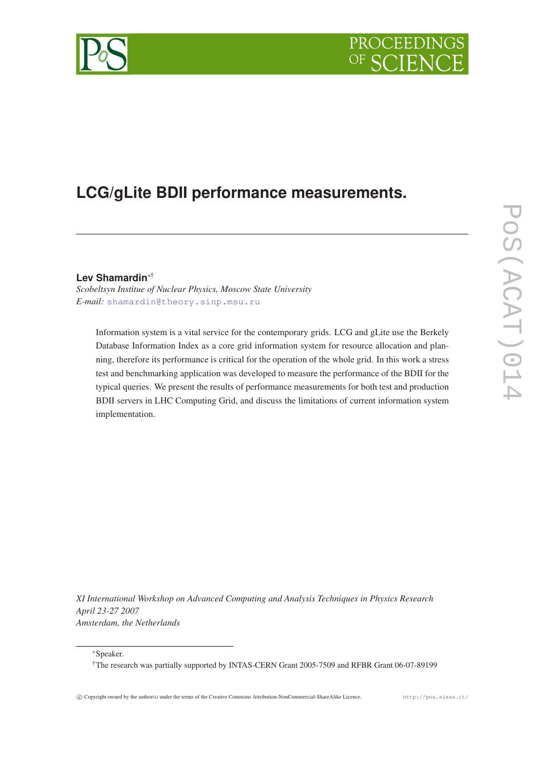

# **LCG/gLite BDII performance measurements.**

# **Lev Shamardin**∗†

*Scobeltsyn Institue of Nuclear Physics, Moscow State University E-mail:* [shamardin@theory.sinp.msu.ru](mailto:shamardin@theory.sinp.msu.ru)

Information system is a vital service for the contemporary grids. LCG and gLite use the Berkely Database Information Index as a core grid information system for resource allocation and planning, therefore its performance is critical for the operation of the whole grid. In this work a stress test and benchmarking application was developed to measure the performance of the BDII for the typical queries. We present the results of performance measurements for both test and production BDII servers in LHC Computing Grid, and discuss the limitations of current information system implementation.

*XI International Workshop on Advanced Computing and Analysis Techniques in Physics Research April 23-27 2007 Amsterdam, the Netherlands*

<sup>∗</sup>Speaker.

†The research was partially supported by INTAS-CERN Grant 2005-7509 and RFBR Grant 06-07-89199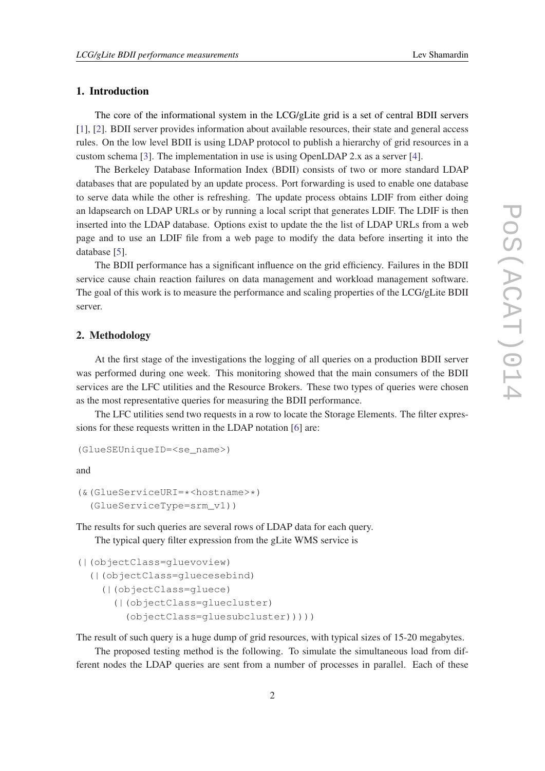## 1. Introduction

The core of the informational system in the LCG/gLite grid is a set of central BDII servers [[1](#page-3-0)], [\[2\]](#page-3-0). BDII server provides information about available resources, their state and general access rules. On the low level BDII is using LDAP protocol to publish a hierarchy of grid resources in a custom schema [[3](#page-3-0)]. The implementation in use is using OpenLDAP 2.x as a server [[4](#page-3-0)].

The Berkeley Database Information Index (BDII) consists of two or more standard LDAP databases that are populated by an update process. Port forwarding is used to enable one database to serve data while the other is refreshing. The update process obtains LDIF from either doing an ldapsearch on LDAP URLs or by running a local script that generates LDIF. The LDIF is then inserted into the LDAP database. Options exist to update the the list of LDAP URLs from a web page and to use an LDIF file from a web page to modify the data before inserting it into the database [\[5\]](#page-3-0).

The BDII performance has a significant influence on the grid efficiency. Failures in the BDII service cause chain reaction failures on data management and workload management software. The goal of this work is to measure the performance and scaling properties of the LCG/gLite BDII server.

### 2. Methodology

At the first stage of the investigations the logging of all queries on a production BDII server was performed during one week. This monitoring showed that the main consumers of the BDII services are the LFC utilities and the Resource Brokers. These two types of queries were chosen as the most representative queries for measuring the BDII performance.

The LFC utilities send two requests in a row to locate the Storage Elements. The filter expressions for these requests written in the LDAP notation [\[6\]](#page-3-0) are:

```
(GlueSEUniqueID=<se_name>)
```
and

```
(&(GlueServiceURI=*<hostname>*)
 (GlueServiceType=srm_v1))
```
The results for such queries are several rows of LDAP data for each query.

The typical query filter expression from the gLite WMS service is

```
(|(objectClass=gluevoview)
```

```
(|(objectClass=gluecesebind)
(|(objectClass=gluece)
   (|(objectClass=gluecluster)
     (objectClass=gluesubcluster)))))
```
The result of such query is a huge dump of grid resources, with typical sizes of 15-20 megabytes.

The proposed testing method is the following. To simulate the simultaneous load from different nodes the LDAP queries are sent from a number of processes in parallel. Each of these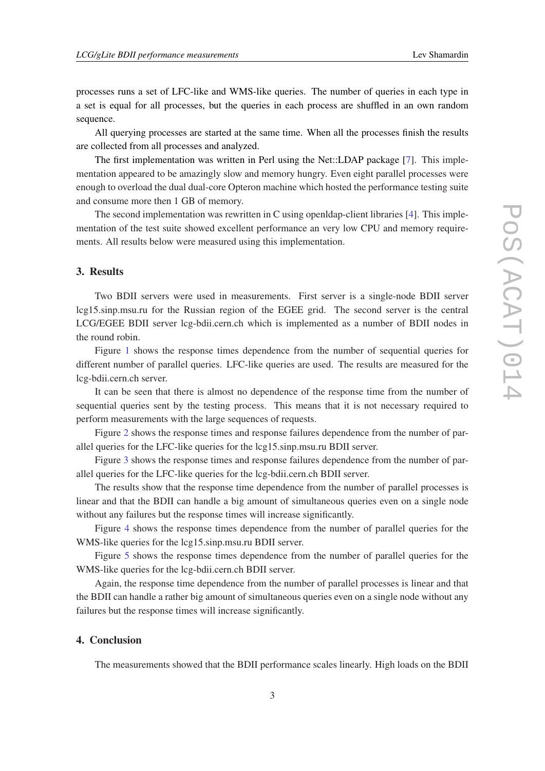processes runs a set of LFC-like and WMS-like queries. The number of queries in each type in a set is equal for all processes, but the queries in each process are shuffled in an own random sequence.

All querying processes are started at the same time. When all the processes finish the results are collected from all processes and analyzed.

The first implementation was written in Perl using the Net::LDAP package [\[7\]](#page-3-0). This implementation appeared to be amazingly slow and memory hungry. Even eight parallel processes were enough to overload the dual dual-core Opteron machine which hosted the performance testing suite and consume more then 1 GB of memory.

The second implementation was rewritten in C using openldap-client libraries [[4\]](#page-3-0). This implementation of the test suite showed excellent performance an very low CPU and memory requirements. All results below were measured using this implementation.

#### 3. Results

Two BDII servers were used in measurements. First server is a single-node BDII server lcg15.sinp.msu.ru for the Russian region of the EGEE grid. The second server is the central LCG/EGEE BDII server lcg-bdii.cern.ch which is implemented as a number of BDII nodes in the round robin.

Figure [1](#page-4-0) shows the response times dependence from the number of sequential queries for different number of parallel queries. LFC-like queries are used. The results are measured for the lcg-bdii.cern.ch server.

It can be seen that there is almost no dependence of the response time from the number of sequential queries sent by the testing process. This means that it is not necessary required to perform measurements with the large sequences of requests.

Figure [2](#page-4-0) shows the response times and response failures dependence from the number of parallel queries for the LFC-like queries for the lcg15.sinp.msu.ru BDII server.

Figure [3](#page-5-0) shows the response times and response failures dependence from the number of parallel queries for the LFC-like queries for the lcg-bdii.cern.ch BDII server.

The results show that the response time dependence from the number of parallel processes is linear and that the BDII can handle a big amount of simultaneous queries even on a single node without any failures but the response times will increase significantly.

Figure [4](#page-5-0) shows the response times dependence from the number of parallel queries for the WMS-like queries for the lcg15.sinp.msu.ru BDII server.

Figure [5](#page-6-0) shows the response times dependence from the number of parallel queries for the WMS-like queries for the lcg-bdii.cern.ch BDII server.

Again, the response time dependence from the number of parallel processes is linear and that the BDII can handle a rather big amount of simultaneous queries even on a single node without any failures but the response times will increase significantly.

### 4. Conclusion

The measurements showed that the BDII performance scales linearly. High loads on the BDII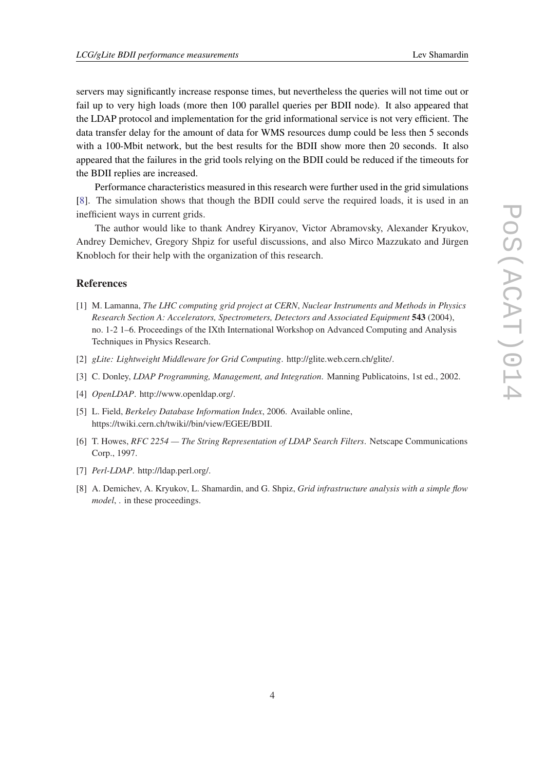<span id="page-3-0"></span>servers may significantly increase response times, but nevertheless the queries will not time out or fail up to very high loads (more then 100 parallel queries per BDII node). It also appeared that the LDAP protocol and implementation for the grid informational service is not very efficient. The data transfer delay for the amount of data for WMS resources dump could be less then 5 seconds with a 100-Mbit network, but the best results for the BDII show more then 20 seconds. It also appeared that the failures in the grid tools relying on the BDII could be reduced if the timeouts for the BDII replies are increased.

Performance characteristics measured in this research were further used in the grid simulations [8]. The simulation shows that though the BDII could serve the required loads, it is used in an inefficient ways in current grids.

The author would like to thank Andrey Kiryanov, Victor Abramovsky, Alexander Kryukov, Andrey Demichev, Gregory Shpiz for useful discussions, and also Mirco Mazzukato and Jürgen Knobloch for their help with the organization of this research.

#### **References**

- [1] M. Lamanna, *The LHC computing grid project at CERN*, *Nuclear Instruments and Methods in Physics Research Section A: Accelerators, Spectrometers, Detectors and Associated Equipment* 543 (2004), no. 1-2 1–6. Proceedings of the IXth International Workshop on Advanced Computing and Analysis Techniques in Physics Research.
- [2] *gLite: Lightweight Middleware for Grid Computing*. http://glite.web.cern.ch/glite/.
- [3] C. Donley, *LDAP Programming, Management, and Integration*. Manning Publicatoins, 1st ed., 2002.
- [4] *OpenLDAP*. http://www.openldap.org/.
- [5] L. Field, *Berkeley Database Information Index*, 2006. Available online, https://twiki.cern.ch/twiki//bin/view/EGEE/BDII.
- [6] T. Howes, *RFC 2254 The String Representation of LDAP Search Filters*. Netscape Communications Corp., 1997.
- [7] *Perl-LDAP*. http://ldap.perl.org/.
- [8] A. Demichev, A. Kryukov, L. Shamardin, and G. Shpiz, *Grid infrastructure analysis with a simple flow model*, . in these proceedings.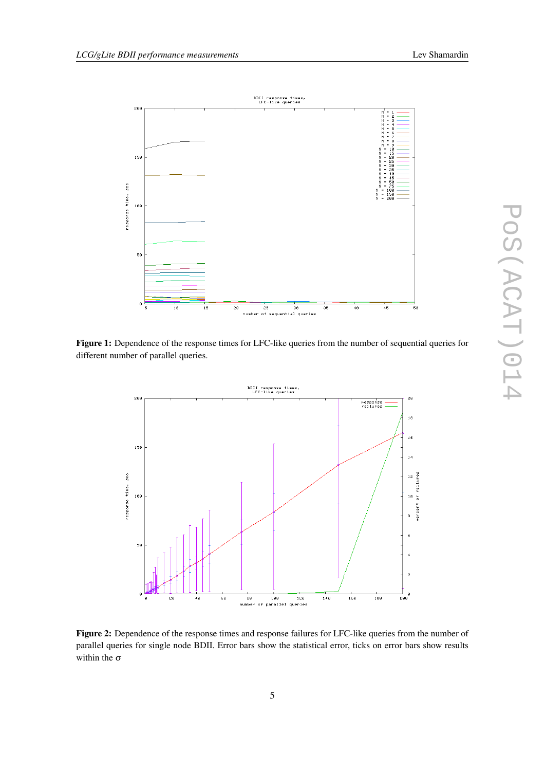<span id="page-4-0"></span>

Figure 1: Dependence of the response times for LFC-like queries from the number of sequential queries for different number of parallel queries.



Figure 2: Dependence of the response times and response failures for LFC-like queries from the number of parallel queries for single node BDII. Error bars show the statistical error, ticks on error bars show results within the  $\sigma$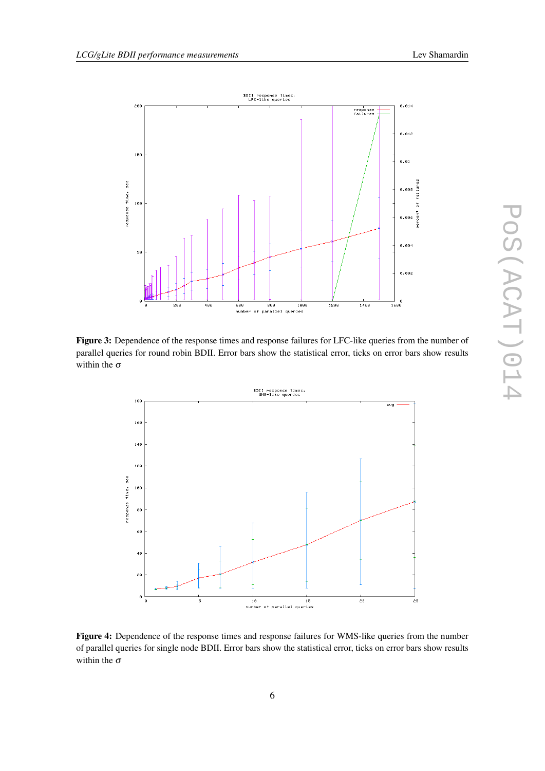<span id="page-5-0"></span>

Figure 3: Dependence of the response times and response failures for LFC-like queries from the number of parallel queries for round robin BDII. Error bars show the statistical error, ticks on error bars show results within the  $\sigma$ 



Figure 4: Dependence of the response times and response failures for WMS-like queries from the number of parallel queries for single node BDII. Error bars show the statistical error, ticks on error bars show results within the  $\sigma$